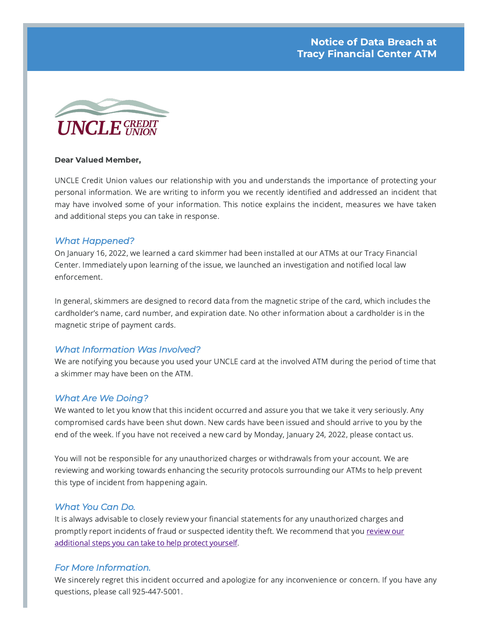

#### Dear Valued Member,

UNCLE Credit Union values our relationship with you and understands the importance of protecting your personal information. We are writing to inform you we recently identified and addressed an incident that may have involved some of your information. This notice explains the incident, measures we have taken and additional steps you can take in response.

## *What Happened?*

On January 16, 2022, we learned a card skimmer had been installed at our ATMs at our Tracy Financial Center. Immediately upon learning of the issue, we launched an investigation and notified local law enforcement.

In general, skimmers are designed to record data from the magnetic stripe of the card, which includes the cardholder's name, card number, and expiration date. No other information about a cardholder is in the magnetic stripe of payment cards.

# *What Information Was Involved?*

We are notifying you because you used your UNCLE card at the involved ATM during the period of time that a skimmer may have been on the ATM.

# *What Are We Doing?*

We wanted to let you know that this incident occurred and assure you that we take it very seriously. Any compromised cards have been shut down. New cards have been issued and should arrive to you by the end of the week. If you have not received a new card by Monday, January 24, 2022, please contact us.

You will not be responsible for any unauthorized charges or withdrawals from your account. We are reviewing and working towards enhancing the security protocols surrounding our ATMs to help prevent this type of incident from happening again.

### *What You Can Do.*

It is always advisable to closely review your financial statements for any unauthorized charges and promptly report incidents of fraud or suspected identity theft. We [recommend](https://www.unclecu.org/additional-fraud-protection/) that you review our additional steps you can take to help protect yourself.

### *For More Information.*

We sincerely regret this incident occurred and apologize for any inconvenience or concern. If you have any questions, please call 925-447-5001.